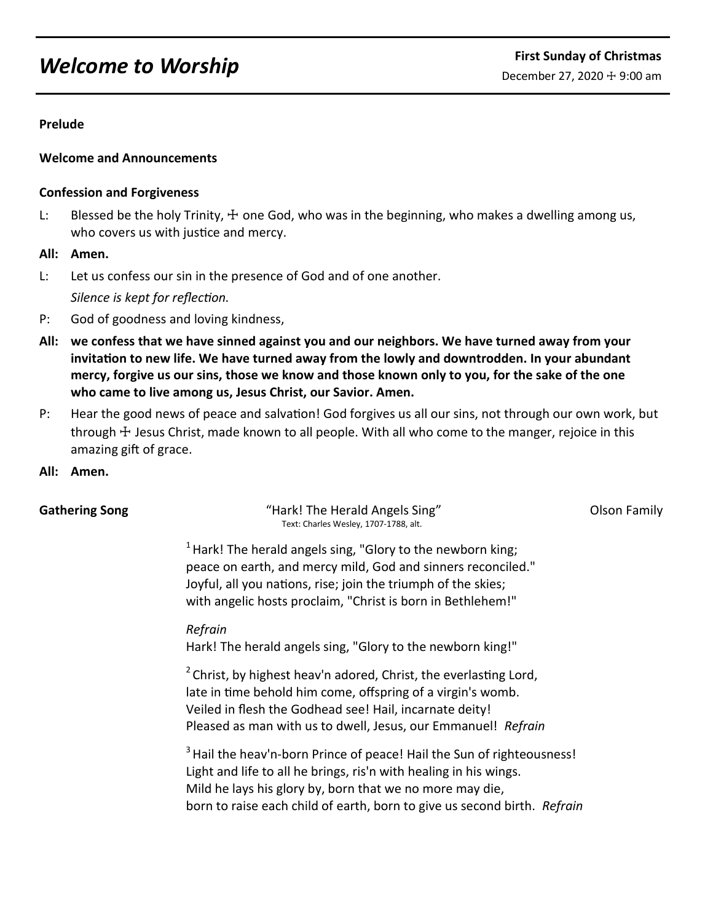# *Welcome to Worship* **First Sunday of Christmas**

# **Prelude**

# **Welcome and Announcements**

# **Confession and Forgiveness**

- L: Blessed be the holy Trinity,  $\pm$  one God, who was in the beginning, who makes a dwelling among us, who covers us with justice and mercy.
- **All: Amen.**
- L: Let us confess our sin in the presence of God and of one another. *Silence is kept for reflection.*
- P: God of goodness and loving kindness,
- **All: we confess that we have sinned against you and our neighbors. We have turned away from your invitation to new life. We have turned away from the lowly and downtrodden. In your abundant mercy, forgive us our sins, those we know and those known only to you, for the sake of the one who came to live among us, Jesus Christ, our Savior. Amen.**
- P: Hear the good news of peace and salvation! God forgives us all our sins, not through our own work, but through  $\pm$  Jesus Christ, made known to all people. With all who come to the manger, rejoice in this amazing gift of grace.
- **All: Amen.**

**Gathering Song The Song Transform Constrainer Constrainer Warehouse Constrainer Song Transform Constrainer Constr** Text: Charles Wesley, 1707-1788, alt.

 $1$  Hark! The herald angels sing, "Glory to the newborn king; peace on earth, and mercy mild, God and sinners reconciled." Joyful, all you nations, rise; join the triumph of the skies; with angelic hosts proclaim, "Christ is born in Bethlehem!"

*Refrain*

Hark! The herald angels sing, "Glory to the newborn king!"

 $2$  Christ, by highest heav'n adored, Christ, the everlasting Lord, late in time behold him come, offspring of a virgin's womb. Veiled in flesh the Godhead see! Hail, incarnate deity! Pleased as man with us to dwell, Jesus, our Emmanuel! *Refrain*

<sup>3</sup> Hail the heav'n-born Prince of peace! Hail the Sun of righteousness! Light and life to all he brings, ris'n with healing in his wings. Mild he lays his glory by, born that we no more may die, born to raise each child of earth, born to give us second birth. *Refrain*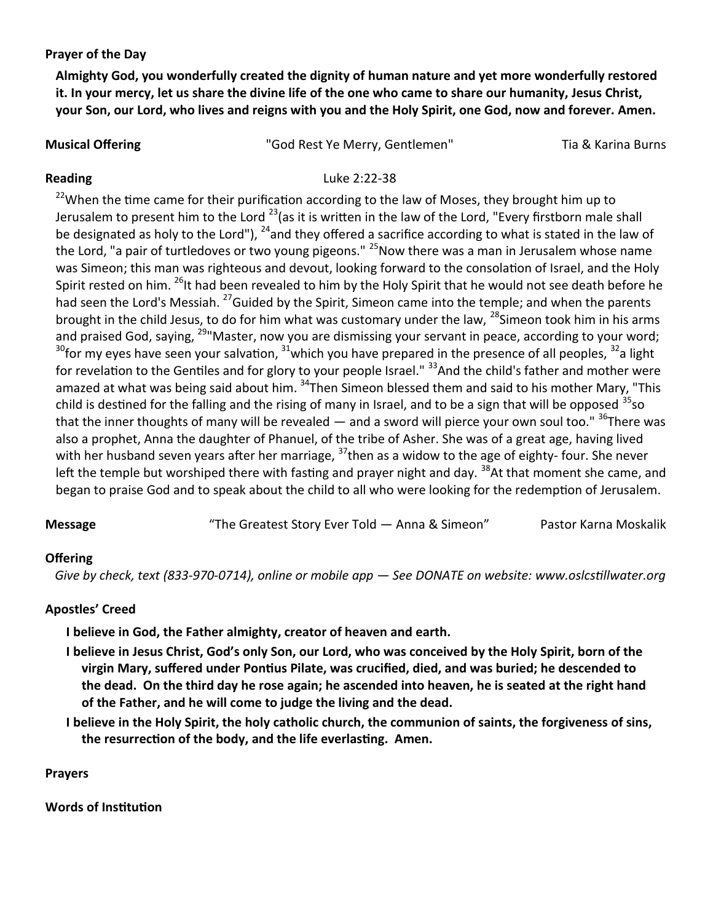**Prayer of the Day**

**Almighty God, you wonderfully created the dignity of human nature and yet more wonderfully restored it. In your mercy, let us share the divine life of the one who came to share our humanity, Jesus Christ, your Son, our Lord, who lives and reigns with you and the Holy Spirit, one God, now and forever. Amen.**

**Musical Offering The Community Community** "God Rest Ye Merry, Gentlemen" Tia & Karina Burns

# **Reading** Luke 2:22-38

 $22$ When the time came for their purification according to the law of Moses, they brought him up to Jerusalem to present him to the Lord  $^{23}$  (as it is written in the law of the Lord, "Every firstborn male shall be designated as holy to the Lord"), <sup>24</sup>and they offered a sacrifice according to what is stated in the law of the Lord, "a pair of turtledoves or two young pigeons." <sup>25</sup>Now there was a man in Jerusalem whose name was Simeon; this man was righteous and devout, looking forward to the consolation of Israel, and the Holy Spirit rested on him. <sup>26</sup>It had been revealed to him by the Holy Spirit that he would not see death before he had seen the Lord's Messiah. <sup>27</sup>Guided by the Spirit, Simeon came into the temple; and when the parents brought in the child Jesus, to do for him what was customary under the law,  $^{28}$ Simeon took him in his arms and praised God, saying, <sup>29</sup> Master, now you are dismissing your servant in peace, according to your word;  $30$  for my eyes have seen your salvation,  $31$  which you have prepared in the presence of all peoples,  $32$  a light for revelation to the Gentiles and for glory to your people Israel." <sup>33</sup>And the child's father and mother were amazed at what was being said about him. <sup>34</sup>Then Simeon blessed them and said to his mother Mary, "This child is destined for the falling and the rising of many in Israel, and to be a sign that will be opposed  $35$ so that the inner thoughts of many will be revealed  $-$  and a sword will pierce your own soul too."  $36$ There was also a prophet, Anna the daughter of Phanuel, of the tribe of Asher. She was of a great age, having lived with her husband seven years after her marriage,  $37$ then as a widow to the age of eighty- four. She never left the temple but worshiped there with fasting and prayer night and day. <sup>38</sup>At that moment she came, and began to praise God and to speak about the child to all who were looking for the redemption of Jerusalem.

**Message** "The Greatest Story Ever Told — Anna & Simeon" Pastor Karna Moskalik

# **Offering**

 *Give by check, text (833-970-0714), online or mobile app — See DONATE on website: www.oslcstillwater.org*

# **Apostles' Creed**

**I believe in God, the Father almighty, creator of heaven and earth.** 

- **I believe in Jesus Christ, God's only Son, our Lord, who was conceived by the Holy Spirit, born of the virgin Mary, suffered under Pontius Pilate, was crucified, died, and was buried; he descended to the dead. On the third day he rose again; he ascended into heaven, he is seated at the right hand of the Father, and he will come to judge the living and the dead.**
- **I believe in the Holy Spirit, the holy catholic church, the communion of saints, the forgiveness of sins, the resurrection of the body, and the life everlasting. Amen.**

# **Prayers**

**Words of Institution**